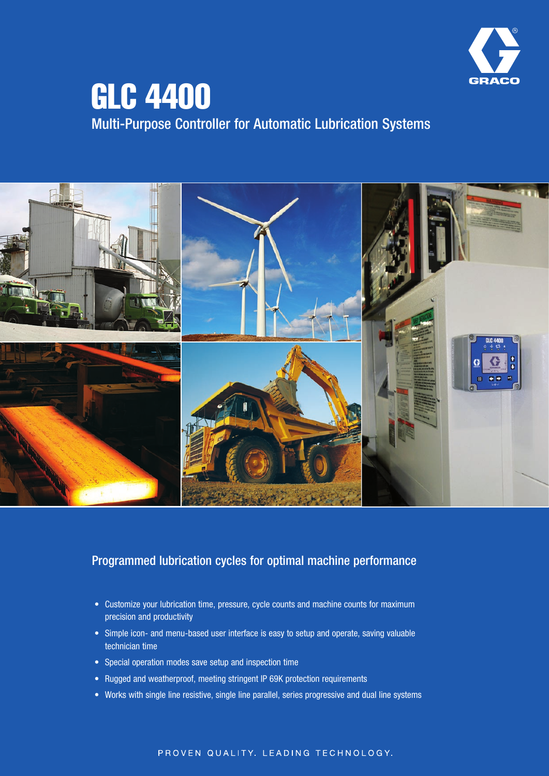

# GLC 4400 Multi-Purpose Controller for Automatic Lubrication Systems



### Programmed lubrication cycles for optimal machine performance

- Customize your lubrication time, pressure, cycle counts and machine counts for maximum precision and productivity
- Simple icon- and menu-based user interface is easy to setup and operate, saving valuable technician time
- Special operation modes save setup and inspection time
- Rugged and weatherproof, meeting stringent IP 69K protection requirements
- Works with single line resistive, single line parallel, series progressive and dual line systems

#### PROVEN QUALITY, LEADING TECHNOLOGY,